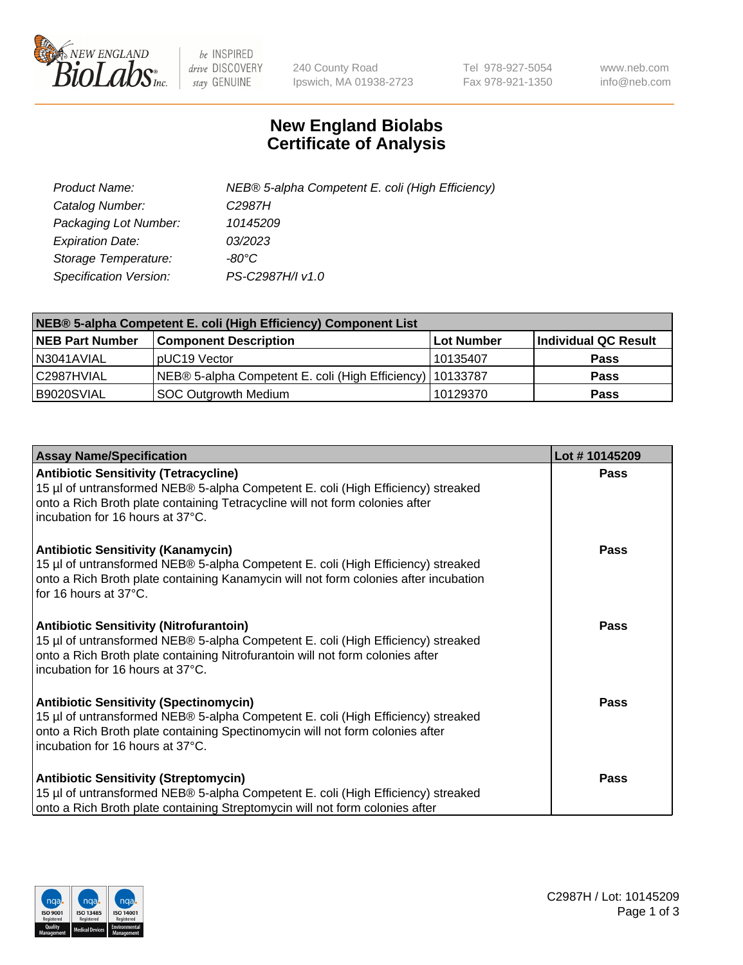

 $be$  INSPIRED drive DISCOVERY stay GENUINE

240 County Road Ipswich, MA 01938-2723 Tel 978-927-5054 Fax 978-921-1350 www.neb.com info@neb.com

## **New England Biolabs Certificate of Analysis**

| Product Name:                 | NEB® 5-alpha Competent E. coli (High Efficiency) |
|-------------------------------|--------------------------------------------------|
| Catalog Number:               | C <sub>2987</sub> H                              |
| Packaging Lot Number:         | 10145209                                         |
| <b>Expiration Date:</b>       | 03/2023                                          |
| Storage Temperature:          | -80°C                                            |
| <b>Specification Version:</b> | PS-C2987H/I v1.0                                 |

| NEB® 5-alpha Competent E. coli (High Efficiency) Component List |                                                             |                   |                      |  |
|-----------------------------------------------------------------|-------------------------------------------------------------|-------------------|----------------------|--|
| <b>NEB Part Number</b>                                          | <b>Component Description</b>                                | <b>Lot Number</b> | Individual QC Result |  |
| N3041AVIAL                                                      | pUC19 Vector                                                | 10135407          | <b>Pass</b>          |  |
| C2987HVIAL                                                      | NEB® 5-alpha Competent E. coli (High Efficiency)   10133787 |                   | <b>Pass</b>          |  |
| B9020SVIAL                                                      | <b>SOC Outgrowth Medium</b>                                 | 10129370          | <b>Pass</b>          |  |

| <b>Assay Name/Specification</b>                                                                                                                                                                                                                          | Lot #10145209 |
|----------------------------------------------------------------------------------------------------------------------------------------------------------------------------------------------------------------------------------------------------------|---------------|
| <b>Antibiotic Sensitivity (Tetracycline)</b><br>15 µl of untransformed NEB® 5-alpha Competent E. coli (High Efficiency) streaked<br>onto a Rich Broth plate containing Tetracycline will not form colonies after<br>incubation for 16 hours at 37°C.     | <b>Pass</b>   |
| <b>Antibiotic Sensitivity (Kanamycin)</b><br>15 µl of untransformed NEB® 5-alpha Competent E. coli (High Efficiency) streaked<br>onto a Rich Broth plate containing Kanamycin will not form colonies after incubation<br>for 16 hours at 37°C.           | Pass          |
| <b>Antibiotic Sensitivity (Nitrofurantoin)</b><br>15 µl of untransformed NEB® 5-alpha Competent E. coli (High Efficiency) streaked<br>onto a Rich Broth plate containing Nitrofurantoin will not form colonies after<br>incubation for 16 hours at 37°C. | Pass          |
| <b>Antibiotic Sensitivity (Spectinomycin)</b><br>15 µl of untransformed NEB® 5-alpha Competent E. coli (High Efficiency) streaked<br>onto a Rich Broth plate containing Spectinomycin will not form colonies after<br>incubation for 16 hours at 37°C.   | <b>Pass</b>   |
| <b>Antibiotic Sensitivity (Streptomycin)</b><br>15 µl of untransformed NEB® 5-alpha Competent E. coli (High Efficiency) streaked<br>onto a Rich Broth plate containing Streptomycin will not form colonies after                                         | Pass          |

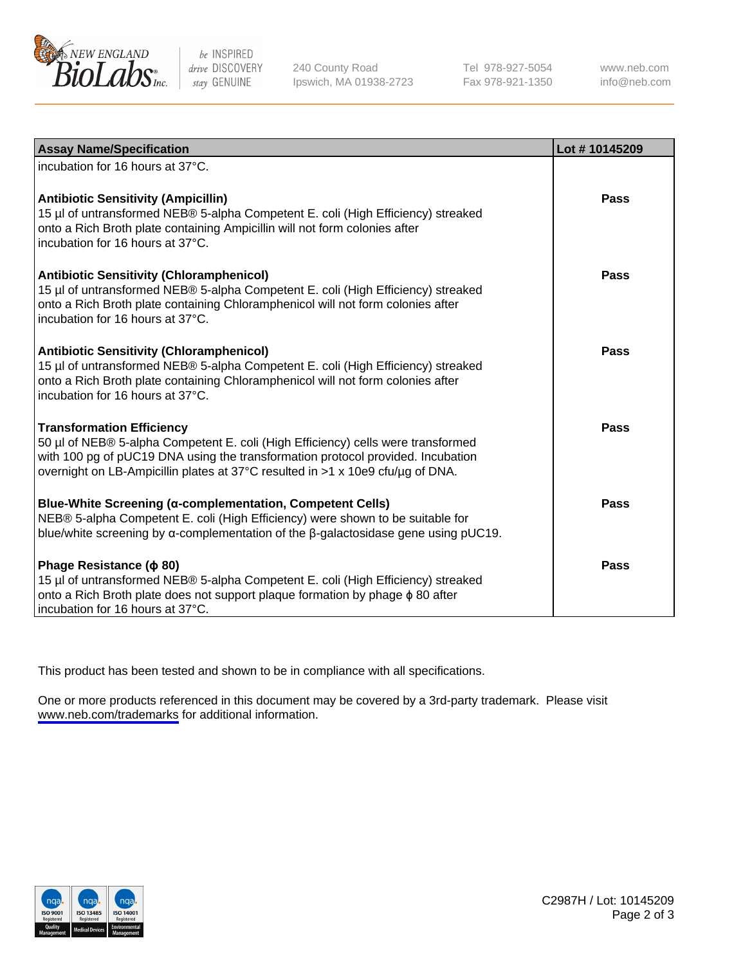

be INSPIRED drive DISCOVERY stay GENUINE

240 County Road Ipswich, MA 01938-2723 Tel 978-927-5054 Fax 978-921-1350

www.neb.com info@neb.com

| <b>Assay Name/Specification</b>                                                                                                                                                                                                                                                           | Lot #10145209 |
|-------------------------------------------------------------------------------------------------------------------------------------------------------------------------------------------------------------------------------------------------------------------------------------------|---------------|
| incubation for 16 hours at 37°C.                                                                                                                                                                                                                                                          |               |
| <b>Antibiotic Sensitivity (Ampicillin)</b><br>15 µl of untransformed NEB® 5-alpha Competent E. coli (High Efficiency) streaked<br>onto a Rich Broth plate containing Ampicillin will not form colonies after<br>incubation for 16 hours at 37°C.                                          | Pass          |
| <b>Antibiotic Sensitivity (Chloramphenicol)</b><br>15 µl of untransformed NEB® 5-alpha Competent E. coli (High Efficiency) streaked<br>onto a Rich Broth plate containing Chloramphenicol will not form colonies after<br>incubation for 16 hours at 37°C.                                | Pass          |
| <b>Antibiotic Sensitivity (Chloramphenicol)</b><br>15 µl of untransformed NEB® 5-alpha Competent E. coli (High Efficiency) streaked<br>onto a Rich Broth plate containing Chloramphenicol will not form colonies after<br>incubation for 16 hours at 37°C.                                | Pass          |
| <b>Transformation Efficiency</b><br>50 µl of NEB® 5-alpha Competent E. coli (High Efficiency) cells were transformed<br>with 100 pg of pUC19 DNA using the transformation protocol provided. Incubation<br>overnight on LB-Ampicillin plates at 37°C resulted in >1 x 10e9 cfu/ug of DNA. | <b>Pass</b>   |
| <b>Blue-White Screening (α-complementation, Competent Cells)</b><br>NEB® 5-alpha Competent E. coli (High Efficiency) were shown to be suitable for<br>blue/white screening by $\alpha$ -complementation of the $\beta$ -galactosidase gene using pUC19.                                   | Pass          |
| Phage Resistance ( $\phi$ 80)<br>15 µl of untransformed NEB® 5-alpha Competent E. coli (High Efficiency) streaked<br>onto a Rich Broth plate does not support plaque formation by phage $\phi$ 80 after<br>incubation for 16 hours at 37°C.                                               | <b>Pass</b>   |

This product has been tested and shown to be in compliance with all specifications.

One or more products referenced in this document may be covered by a 3rd-party trademark. Please visit <www.neb.com/trademarks>for additional information.